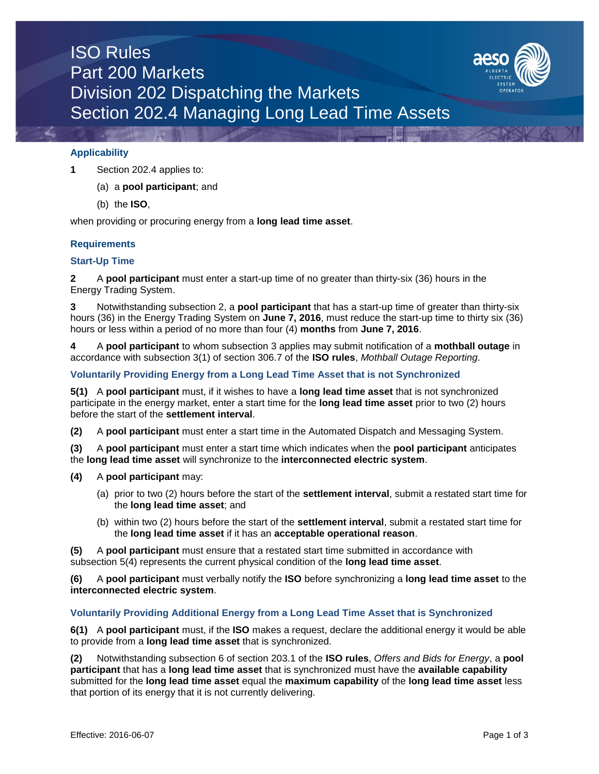# ISO Rules Part 200 Markets Division 202 Dispatching the Markets Section 202.4 Managing Long Lead Time Assets



**1** Section 202.4 applies to:

(a) a **pool participant**; and

(b) the **ISO**,

when providing or procuring energy from a **long lead time asset**.

### **Requirements**

### **Start-Up Time**

**2** A **pool participant** must enter a start-up time of no greater than thirty-six (36) hours in the Energy Trading System.

**3** Notwithstanding subsection 2, a **pool participant** that has a start-up time of greater than thirty-six hours (36) in the Energy Trading System on **June 7, 2016**, must reduce the start-up time to thirty six (36) hours or less within a period of no more than four (4) **months** from **June 7, 2016**.

**4** A **pool participant** to whom subsection 3 applies may submit notification of a **mothball outage** in accordance with subsection 3(1) of section 306.7 of the **ISO rules**, *Mothball Outage Reporting*.

### **Voluntarily Providing Energy from a Long Lead Time Asset that is not Synchronized**

**5(1)** A **pool participant** must, if it wishes to have a **long lead time asset** that is not synchronized participate in the energy market, enter a start time for the **long lead time asset** prior to two (2) hours before the start of the **settlement interval**.

**(2)** A **pool participant** must enter a start time in the Automated Dispatch and Messaging System.

**(3)** A **pool participant** must enter a start time which indicates when the **pool participant** anticipates the **long lead time asset** will synchronize to the **interconnected electric system**.

- **(4)** A **pool participant** may:
	- (a) prior to two (2) hours before the start of the **settlement interval**, submit a restated start time for the **long lead time asset**; and
	- (b) within two (2) hours before the start of the **settlement interval**, submit a restated start time for the **long lead time asset** if it has an **acceptable operational reason**.

**(5)** A **pool participant** must ensure that a restated start time submitted in accordance with subsection 5(4) represents the current physical condition of the **long lead time asset**.

**(6)** A **pool participant** must verbally notify the **ISO** before synchronizing a **long lead time asset** to the **interconnected electric system**.

### **Voluntarily Providing Additional Energy from a Long Lead Time Asset that is Synchronized**

**6(1)** A **pool participant** must, if the **ISO** makes a request, declare the additional energy it would be able to provide from a **long lead time asset** that is synchronized.

**(2)** Notwithstanding subsection 6 of section 203.1 of the **ISO rules**, *Offers and Bids for Energy*, a **pool participant** that has a **long lead time asset** that is synchronized must have the **available capability** submitted for the **long lead time asset** equal the **maximum capability** of the **long lead time asset** less that portion of its energy that it is not currently delivering.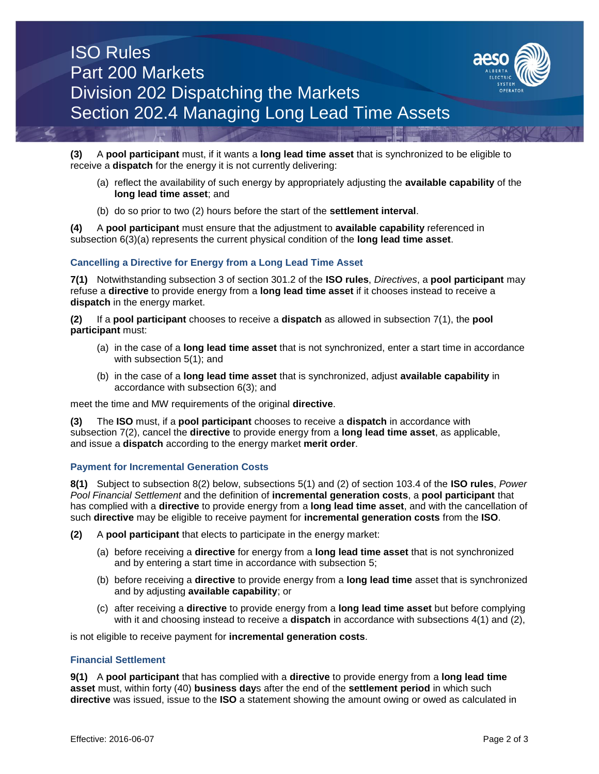

**(3)** A **pool participant** must, if it wants a **long lead time asset** that is synchronized to be eligible to receive a **dispatch** for the energy it is not currently delivering:

- (a) reflect the availability of such energy by appropriately adjusting the **available capability** of the **long lead time asset**; and
- (b) do so prior to two (2) hours before the start of the **settlement interval**.

**(4)** A **pool participant** must ensure that the adjustment to **available capability** referenced in subsection 6(3)(a) represents the current physical condition of the **long lead time asset**.

### **Cancelling a Directive for Energy from a Long Lead Time Asset**

**7(1)** Notwithstanding subsection 3 of section 301.2 of the **ISO rules**, *Directives*, a **pool participant** may refuse a **directive** to provide energy from a **long lead time asset** if it chooses instead to receive a **dispatch** in the energy market.

**(2)** If a **pool participant** chooses to receive a **dispatch** as allowed in subsection 7(1), the **pool participant** must:

- (a) in the case of a **long lead time asset** that is not synchronized, enter a start time in accordance with subsection 5(1); and
- (b) in the case of a **long lead time asset** that is synchronized, adjust **available capability** in accordance with subsection 6(3); and

meet the time and MW requirements of the original **directive**.

**(3)** The **ISO** must, if a **pool participant** chooses to receive a **dispatch** in accordance with subsection 7(2), cancel the **directive** to provide energy from a **long lead time asset**, as applicable, and issue a **dispatch** according to the energy market **merit order**.

### **Payment for Incremental Generation Costs**

**8(1)** Subject to subsection 8(2) below, subsections 5(1) and (2) of section 103.4 of the **ISO rules**, *Power Pool Financial Settlement* and the definition of **incremental generation costs**, a **pool participant** that has complied with a **directive** to provide energy from a **long lead time asset**, and with the cancellation of such **directive** may be eligible to receive payment for **incremental generation costs** from the **ISO**.

**(2)** A **pool participant** that elects to participate in the energy market:

- (a) before receiving a **directive** for energy from a **long lead time asset** that is not synchronized and by entering a start time in accordance with subsection 5;
- (b) before receiving a **directive** to provide energy from a **long lead time** asset that is synchronized and by adjusting **available capability**; or
- (c) after receiving a **directive** to provide energy from a **long lead time asset** but before complying with it and choosing instead to receive a **dispatch** in accordance with subsections 4(1) and (2),

is not eligible to receive payment for **incremental generation costs**.

### **Financial Settlement**

**9(1)** A **pool participant** that has complied with a **directive** to provide energy from a **long lead time asset** must, within forty (40) **business day**s after the end of the **settlement period** in which such **directive** was issued, issue to the **ISO** a statement showing the amount owing or owed as calculated in